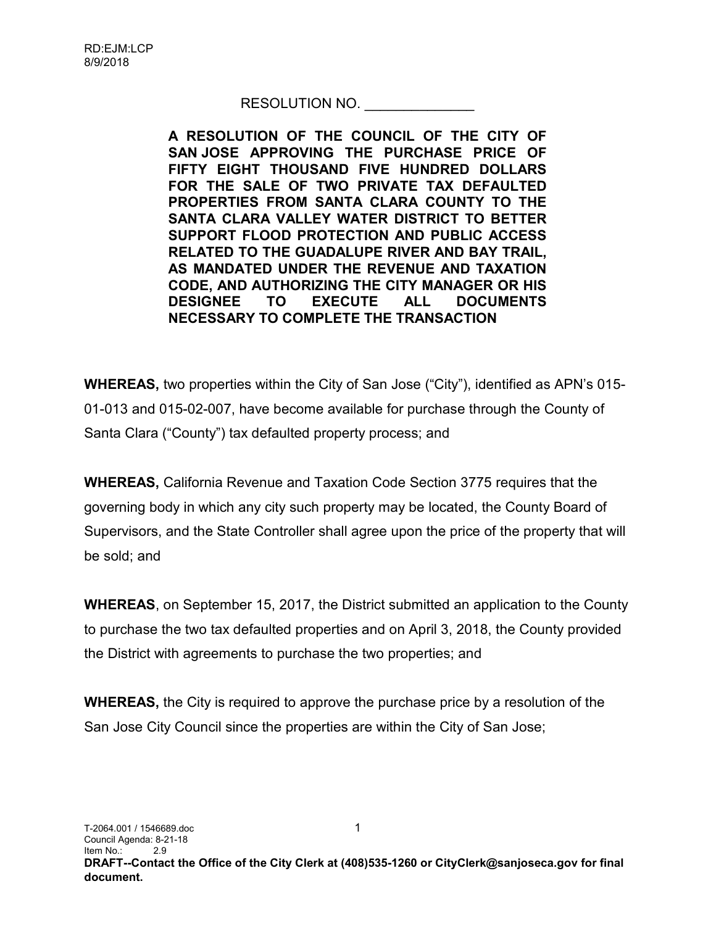## RESOLUTION NO.

A RESOLUTION OF THE COUNCIL OF THE CITY OF SAN JOSE APPROVING THE PURCHASE PRICE OF FIFTY EIGHT THOUSAND FIVE HUNDRED DOLLARS FOR THE SALE OF TWO PRIVATE TAX DEFAULTED PROPERTIES FROM SANTA CLARA COUNTY TO THE SANTA CLARA VALLEY WATER DISTRICT TO BETTER SUPPORT FLOOD PROTECTION AND PUBLIC ACCESS RELATED TO THE GUADALUPE RIVER AND BAY TRAIL, AS MANDATED UNDER THE REVENUE AND TAXATION CODE, AND AUTHORIZING THE CITY MANAGER OR HIS DESIGNEE TO EXECUTE ALL DOCUMENTS NECESSARY TO COMPLETE THE TRANSACTION

WHEREAS, two properties within the City of San Jose ("City"), identified as APN's 015- 01-013 and 015-02-007, have become available for purchase through the County of Santa Clara ("County") tax defaulted property process; and

WHEREAS, California Revenue and Taxation Code Section 3775 requires that the governing body in which any city such property may be located, the County Board of Supervisors, and the State Controller shall agree upon the price of the property that will be sold; and

WHEREAS, on September 15, 2017, the District submitted an application to the County to purchase the two tax defaulted properties and on April 3, 2018, the County provided the District with agreements to purchase the two properties; and

WHEREAS, the City is required to approve the purchase price by a resolution of the San Jose City Council since the properties are within the City of San Jose;